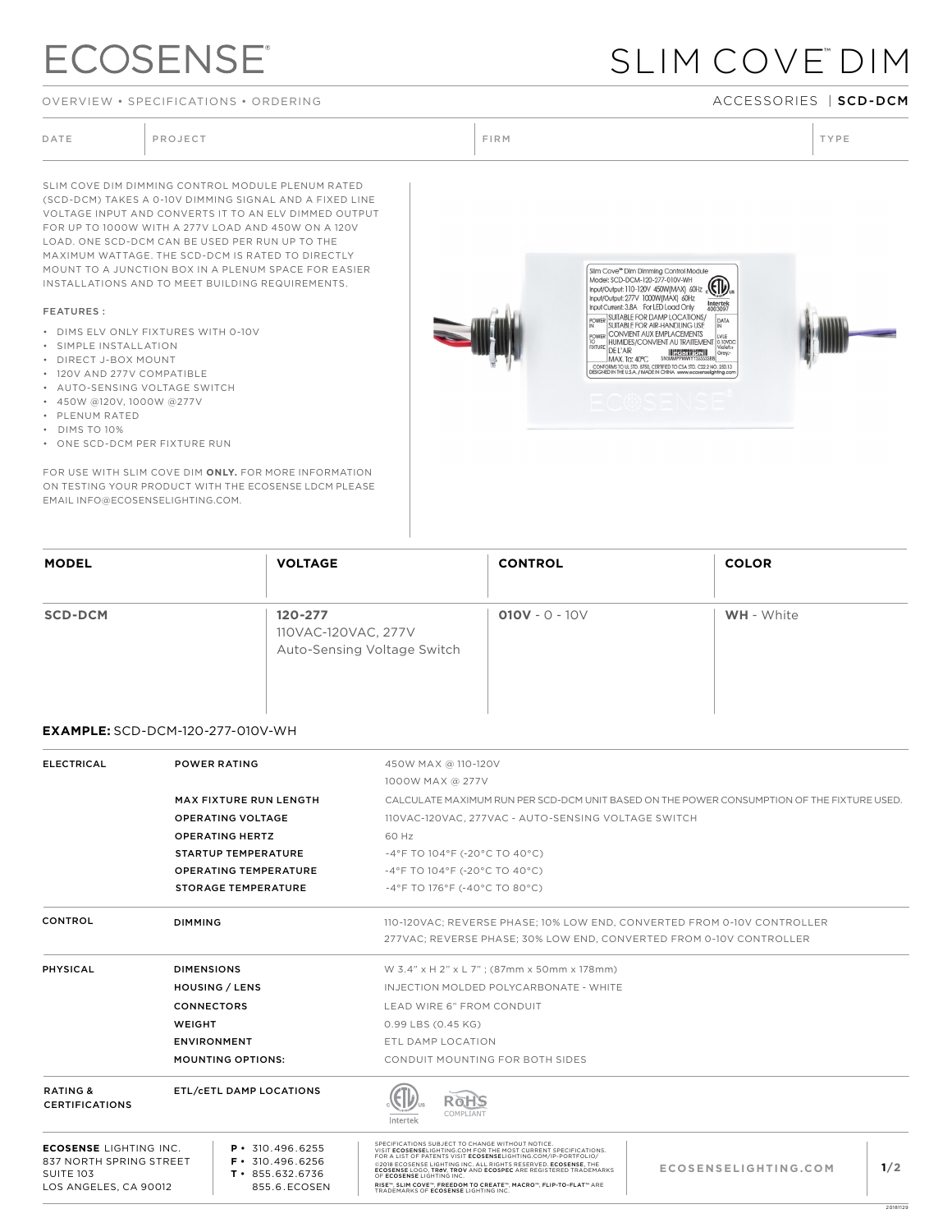# **ECOSENSE®**

OVERVIEW • SPECIFICATIONS • ORDERING ACCESSORIES | SCD-DCM

## SLIM COVE™ DIM

DATE PROJECT PROJECT PRODUCT PROJECT PRODUCT PRODUCT PRODUCT PRODUCT PRODUCT PRODUCT PRODUCT PRODUCT PRODUCT PRODUCT PRODUCT PRODUCT PRODUCT PRODUCT PRODUCT PRODUCT PRODUCT PRODUCT PRODUCT PRODUCT PRODUCT PRODUCT PRODUCT P SLIM COVE DIM DIMMING CONTROL MODULE PLENUM RATED (SCD-DCM) TAKES A 0-10V DIMMING SIGNAL AND A FIXED LINE VOLTAGE INPUT AND CONVERTS IT TO AN ELV DIMMED OUTPUT FOR UP TO 1000W WITH A 277V LOAD AND 450W ON A 120V LOAD. ONE SCD-DCM CAN BE USED PER RUN UP TO THE MAXIMUM WATTAGE. THE SCD-DCM IS RATED TO DIRECTLY Slim Cove<sup>w</sup> Dim Dimming Control Module<br>Model: SCD-DCM-120-277-010V-WH<br>Input/Output: 110-120V 450W(MAX) 60Hz MOUNT TO A JUNCTION BOX IN A PLENUM SPACE FOR EASIER INSTALLATIONS AND TO MEET BUILDING REQUIREMENTS. FEATURES : • DIMS ELV ONLY FIXTURES WITH 0-10V • SIMPLE INSTALLATION • DIRECT J-BOX MOUNT

- 
- 120V AND 277V COMPATIBLE
- AUTO-SENSING VOLTAGE SWITCH • 450W @120V, 1000W @277V
- PLENUM RATED
- DIMS TO 10%
- ONE SCD-DCM PER FIXTURE RUN

FOR USE WITH SLIM COVE DIM **ONLY.** FOR MORE INFORMATION ON TESTING YOUR PRODUCT WITH THE ECOSENSE LDCM PLEASE EMAIL INFO@ECOSENSELIGHTING.COM.







20181129

| <b>MODEL</b>   | <b>VOLTAGE</b>                 | <b>CONTROL</b>                                  | <b>COLOR</b>         |                          |  |
|----------------|--------------------------------|-------------------------------------------------|----------------------|--------------------------|--|
|                | $\blacktriangledown$           | $\blacktriangledown$                            | $\blacktriangledown$ | $\overline{\phantom{a}}$ |  |
| <b>SCD-DCM</b> | 120-277<br>110VAC-120VAC, 277V | $010V - 0 - 10V$<br>Auto-Sensing Voltage Switch | <b>WH</b> - White    |                          |  |

### **EXAMPLE:** SCD-DCM-120-277-010V-WH

| <b>ELECTRICAL</b>                                                                                                                                                                            | <b>POWER RATING</b>                                |                              | 450W MAX @ 110-120V                                                                                                                                                                                                                                                                                                                                                                                                                                                 |                      |     |  |
|----------------------------------------------------------------------------------------------------------------------------------------------------------------------------------------------|----------------------------------------------------|------------------------------|---------------------------------------------------------------------------------------------------------------------------------------------------------------------------------------------------------------------------------------------------------------------------------------------------------------------------------------------------------------------------------------------------------------------------------------------------------------------|----------------------|-----|--|
|                                                                                                                                                                                              |                                                    |                              | 1000W MAX @ 277V                                                                                                                                                                                                                                                                                                                                                                                                                                                    |                      |     |  |
|                                                                                                                                                                                              | <b>MAX FIXTURE RUN LENGTH</b>                      |                              | CALCULATE MAXIMUM RUN PER SCD-DCM UNIT BASED ON THE POWER CONSUMPTION OF THE FIXTURE USED.                                                                                                                                                                                                                                                                                                                                                                          |                      |     |  |
|                                                                                                                                                                                              | <b>OPERATING VOLTAGE</b><br><b>OPERATING HERTZ</b> |                              | 110VAC-120VAC, 277VAC - AUTO-SENSING VOLTAGE SWITCH<br>60 Hz                                                                                                                                                                                                                                                                                                                                                                                                        |                      |     |  |
|                                                                                                                                                                                              |                                                    |                              |                                                                                                                                                                                                                                                                                                                                                                                                                                                                     |                      |     |  |
|                                                                                                                                                                                              |                                                    | <b>OPERATING TEMPERATURE</b> |                                                                                                                                                                                                                                                                                                                                                                                                                                                                     |                      |     |  |
|                                                                                                                                                                                              |                                                    |                              | <b>STORAGE TEMPERATURE</b>                                                                                                                                                                                                                                                                                                                                                                                                                                          |                      |     |  |
| <b>CONTROL</b>                                                                                                                                                                               | DIMMING                                            |                              | 110-120VAC; REVERSE PHASE; 10% LOW END, CONVERTED FROM 0-10V CONTROLLER                                                                                                                                                                                                                                                                                                                                                                                             |                      |     |  |
|                                                                                                                                                                                              |                                                    |                              | 277VAC; REVERSE PHASE; 30% LOW END, CONVERTED FROM 0-10V CONTROLLER                                                                                                                                                                                                                                                                                                                                                                                                 |                      |     |  |
| <b>PHYSICAL</b>                                                                                                                                                                              | <b>DIMENSIONS</b>                                  |                              | W 3.4" x H 2" x L 7"; (87mm x 50mm x 178mm)                                                                                                                                                                                                                                                                                                                                                                                                                         |                      |     |  |
|                                                                                                                                                                                              | <b>HOUSING / LENS</b>                              |                              | INJECTION MOLDED POLYCARBONATE - WHITE                                                                                                                                                                                                                                                                                                                                                                                                                              |                      |     |  |
|                                                                                                                                                                                              | <b>CONNECTORS</b>                                  |                              | LEAD WIRE 6" FROM CONDUIT                                                                                                                                                                                                                                                                                                                                                                                                                                           |                      |     |  |
|                                                                                                                                                                                              | WEIGHT                                             |                              | 0.99 LBS (0.45 KG)                                                                                                                                                                                                                                                                                                                                                                                                                                                  |                      |     |  |
|                                                                                                                                                                                              | <b>ENVIRONMENT</b>                                 |                              | ETL DAMP LOCATION                                                                                                                                                                                                                                                                                                                                                                                                                                                   |                      |     |  |
|                                                                                                                                                                                              | <b>MOUNTING OPTIONS:</b>                           |                              | CONDUIT MOUNTING FOR BOTH SIDES                                                                                                                                                                                                                                                                                                                                                                                                                                     |                      |     |  |
| <b>RATING &amp;</b><br>ETL/CETL DAMP LOCATIONS<br><b>CERTIFICATIONS</b>                                                                                                                      |                                                    |                              | RoHS<br>COMPLIANT<br>Intertek                                                                                                                                                                                                                                                                                                                                                                                                                                       |                      |     |  |
| <b>ECOSENSE LIGHTING INC.</b><br>$P \cdot 310.496.6255$<br>837 NORTH SPRING STREET<br>$F \cdot 310.496.6256$<br>SUITE 103<br>$T \cdot 855.632.6736$<br>LOS ANGELES, CA 90012<br>855.6.ECOSEN |                                                    |                              | SPECIFICATIONS SUBJECT TO CHANGE WITHOUT NOTICE<br>VISIT ECOSENSELIGHTING.COM FOR THE MOST CURRENT SPECIFICATIONS.<br>FOR A LIST OF PATENTS VISIT ECOSENSELIGHTING.COM/IP-PORTFOLIO/<br>@2018 ECOSENSE LIGHTING INC. ALL RIGHTS RESERVED. ECOSENSE, THE<br>ECOSENSE LOGO, TROV, TROV AND ECOSPEC ARE REGISTERED TRADEMARKS<br>OF ECOSENSE LIGHTING INC.<br>RISE™, SLIM COVE™, FREEDOM TO CREATE™, MACRO™, FLIP-TO-FLAT™ ARE<br>TRADEMARKS OF ECOSENSE LIGHTING INC. | ECOSENSELIGHTING.COM | 1/2 |  |